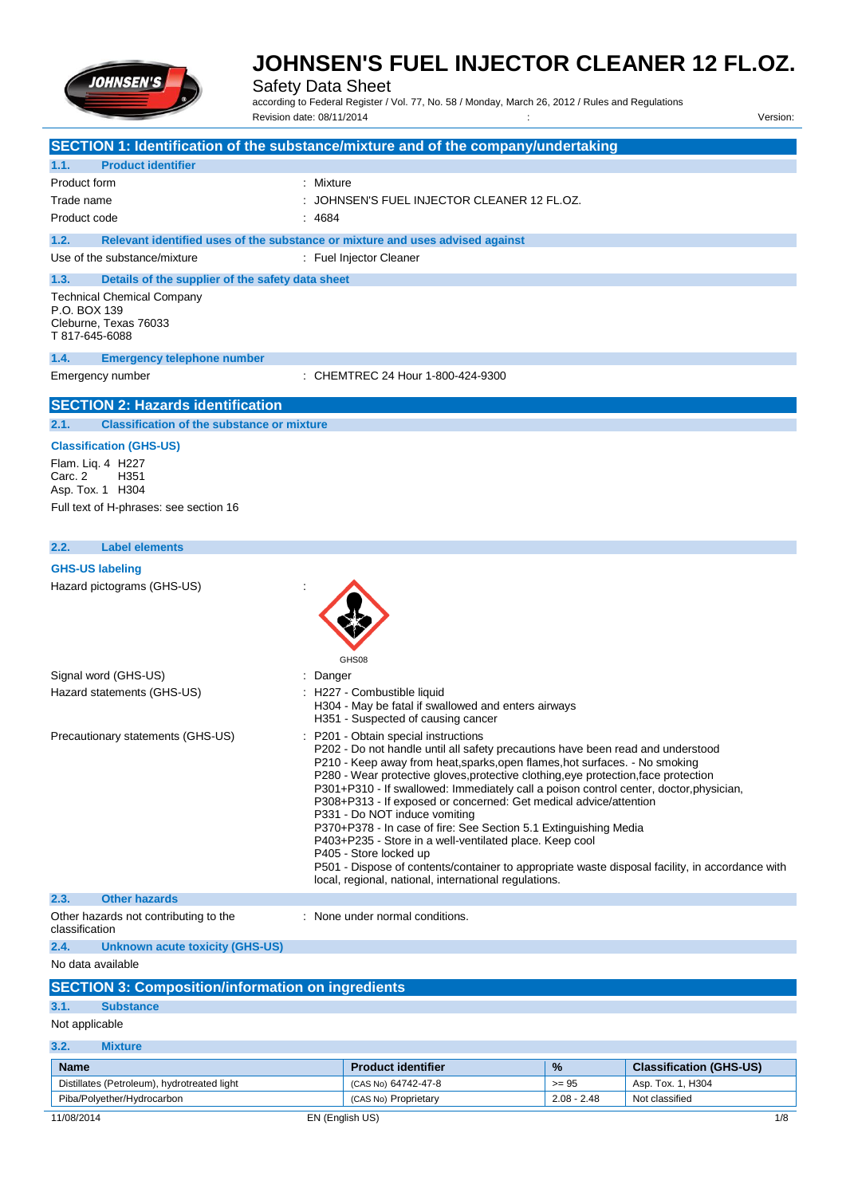

Safety Data Sheet

according to Federal Register / Vol. 77, No. 58 / Monday, March 26, 2012 / Rules and Regulations Revision date: 08/11/2014 Version: Version: Version: Version: Version: Version: Version:

| SECTION 1: Identification of the substance/mixture and of the company/undertaking                                                      |           |                                                                                                                                                                                                                                                                                                                                                                                                                                                                                                                                                                                                                                                                                                                                                                                                                  |               |                                |
|----------------------------------------------------------------------------------------------------------------------------------------|-----------|------------------------------------------------------------------------------------------------------------------------------------------------------------------------------------------------------------------------------------------------------------------------------------------------------------------------------------------------------------------------------------------------------------------------------------------------------------------------------------------------------------------------------------------------------------------------------------------------------------------------------------------------------------------------------------------------------------------------------------------------------------------------------------------------------------------|---------------|--------------------------------|
| 1.1.<br><b>Product identifier</b>                                                                                                      |           |                                                                                                                                                                                                                                                                                                                                                                                                                                                                                                                                                                                                                                                                                                                                                                                                                  |               |                                |
| Product form                                                                                                                           | : Mixture |                                                                                                                                                                                                                                                                                                                                                                                                                                                                                                                                                                                                                                                                                                                                                                                                                  |               |                                |
| Trade name                                                                                                                             |           | JOHNSEN'S FUEL INJECTOR CLEANER 12 FL.OZ.                                                                                                                                                                                                                                                                                                                                                                                                                                                                                                                                                                                                                                                                                                                                                                        |               |                                |
| Product code                                                                                                                           | : 4684    |                                                                                                                                                                                                                                                                                                                                                                                                                                                                                                                                                                                                                                                                                                                                                                                                                  |               |                                |
| 1.2.<br>Relevant identified uses of the substance or mixture and uses advised against                                                  |           |                                                                                                                                                                                                                                                                                                                                                                                                                                                                                                                                                                                                                                                                                                                                                                                                                  |               |                                |
| Use of the substance/mixture                                                                                                           |           | : Fuel Injector Cleaner                                                                                                                                                                                                                                                                                                                                                                                                                                                                                                                                                                                                                                                                                                                                                                                          |               |                                |
| 1.3.<br>Details of the supplier of the safety data sheet<br><b>Technical Chemical Company</b><br>P.O. BOX 139<br>Cleburne, Texas 76033 |           |                                                                                                                                                                                                                                                                                                                                                                                                                                                                                                                                                                                                                                                                                                                                                                                                                  |               |                                |
| T 817-645-6088                                                                                                                         |           |                                                                                                                                                                                                                                                                                                                                                                                                                                                                                                                                                                                                                                                                                                                                                                                                                  |               |                                |
| 1.4.<br><b>Emergency telephone number</b>                                                                                              |           |                                                                                                                                                                                                                                                                                                                                                                                                                                                                                                                                                                                                                                                                                                                                                                                                                  |               |                                |
| Emergency number                                                                                                                       |           | : CHEMTREC 24 Hour 1-800-424-9300                                                                                                                                                                                                                                                                                                                                                                                                                                                                                                                                                                                                                                                                                                                                                                                |               |                                |
| <b>SECTION 2: Hazards identification</b>                                                                                               |           |                                                                                                                                                                                                                                                                                                                                                                                                                                                                                                                                                                                                                                                                                                                                                                                                                  |               |                                |
| <b>Classification of the substance or mixture</b><br>2.1.                                                                              |           |                                                                                                                                                                                                                                                                                                                                                                                                                                                                                                                                                                                                                                                                                                                                                                                                                  |               |                                |
| <b>Classification (GHS-US)</b><br>Flam. Liq. 4 H227<br>Carc. 2<br>H351<br>Asp. Tox. 1 H304<br>Full text of H-phrases: see section 16   |           |                                                                                                                                                                                                                                                                                                                                                                                                                                                                                                                                                                                                                                                                                                                                                                                                                  |               |                                |
| <b>Label elements</b><br>2.2.                                                                                                          |           |                                                                                                                                                                                                                                                                                                                                                                                                                                                                                                                                                                                                                                                                                                                                                                                                                  |               |                                |
| <b>GHS-US labeling</b>                                                                                                                 |           |                                                                                                                                                                                                                                                                                                                                                                                                                                                                                                                                                                                                                                                                                                                                                                                                                  |               |                                |
| Hazard pictograms (GHS-US)                                                                                                             | GHS08     |                                                                                                                                                                                                                                                                                                                                                                                                                                                                                                                                                                                                                                                                                                                                                                                                                  |               |                                |
| Signal word (GHS-US)                                                                                                                   | Danger    |                                                                                                                                                                                                                                                                                                                                                                                                                                                                                                                                                                                                                                                                                                                                                                                                                  |               |                                |
| Hazard statements (GHS-US)                                                                                                             |           | : H227 - Combustible liquid<br>H304 - May be fatal if swallowed and enters airways<br>H351 - Suspected of causing cancer                                                                                                                                                                                                                                                                                                                                                                                                                                                                                                                                                                                                                                                                                         |               |                                |
| Precautionary statements (GHS-US)                                                                                                      |           | P201 - Obtain special instructions<br>P202 - Do not handle until all safety precautions have been read and understood<br>P210 - Keep away from heat, sparks, open flames, hot surfaces. - No smoking<br>P280 - Wear protective gloves, protective clothing, eye protection, face protection<br>P301+P310 - If swallowed: Immediately call a poison control center, doctor, physician,<br>P308+P313 - If exposed or concerned: Get medical advice/attention<br>P331 - Do NOT induce vomiting<br>P370+P378 - In case of fire: See Section 5.1 Extinguishing Media<br>P403+P235 - Store in a well-ventilated place. Keep cool<br>P405 - Store locked up<br>P501 - Dispose of contents/container to appropriate waste disposal facility, in accordance with<br>local, regional, national, international regulations. |               |                                |
| 2.3.<br><b>Other hazards</b>                                                                                                           |           |                                                                                                                                                                                                                                                                                                                                                                                                                                                                                                                                                                                                                                                                                                                                                                                                                  |               |                                |
| Other hazards not contributing to the<br>classification                                                                                |           | : None under normal conditions.                                                                                                                                                                                                                                                                                                                                                                                                                                                                                                                                                                                                                                                                                                                                                                                  |               |                                |
| 2.4.<br><b>Unknown acute toxicity (GHS-US)</b>                                                                                         |           |                                                                                                                                                                                                                                                                                                                                                                                                                                                                                                                                                                                                                                                                                                                                                                                                                  |               |                                |
| No data available                                                                                                                      |           |                                                                                                                                                                                                                                                                                                                                                                                                                                                                                                                                                                                                                                                                                                                                                                                                                  |               |                                |
| <b>SECTION 3: Composition/information on ingredients</b>                                                                               |           |                                                                                                                                                                                                                                                                                                                                                                                                                                                                                                                                                                                                                                                                                                                                                                                                                  |               |                                |
| 3.1.<br><b>Substance</b>                                                                                                               |           |                                                                                                                                                                                                                                                                                                                                                                                                                                                                                                                                                                                                                                                                                                                                                                                                                  |               |                                |
| Not applicable                                                                                                                         |           |                                                                                                                                                                                                                                                                                                                                                                                                                                                                                                                                                                                                                                                                                                                                                                                                                  |               |                                |
| 3.2.<br><b>Mixture</b>                                                                                                                 |           |                                                                                                                                                                                                                                                                                                                                                                                                                                                                                                                                                                                                                                                                                                                                                                                                                  |               |                                |
| <b>Name</b>                                                                                                                            |           | <b>Product identifier</b>                                                                                                                                                                                                                                                                                                                                                                                                                                                                                                                                                                                                                                                                                                                                                                                        | %             | <b>Classification (GHS-US)</b> |
| Distillates (Petroleum), hydrotreated light                                                                                            |           | (CAS No) 64742-47-8                                                                                                                                                                                                                                                                                                                                                                                                                                                                                                                                                                                                                                                                                                                                                                                              | $>= 95$       | Asp. Tox. 1, H304              |
| Piba/Polyether/Hydrocarbon                                                                                                             |           | (CAS No) Proprietary                                                                                                                                                                                                                                                                                                                                                                                                                                                                                                                                                                                                                                                                                                                                                                                             | $2.08 - 2.48$ | Not classified                 |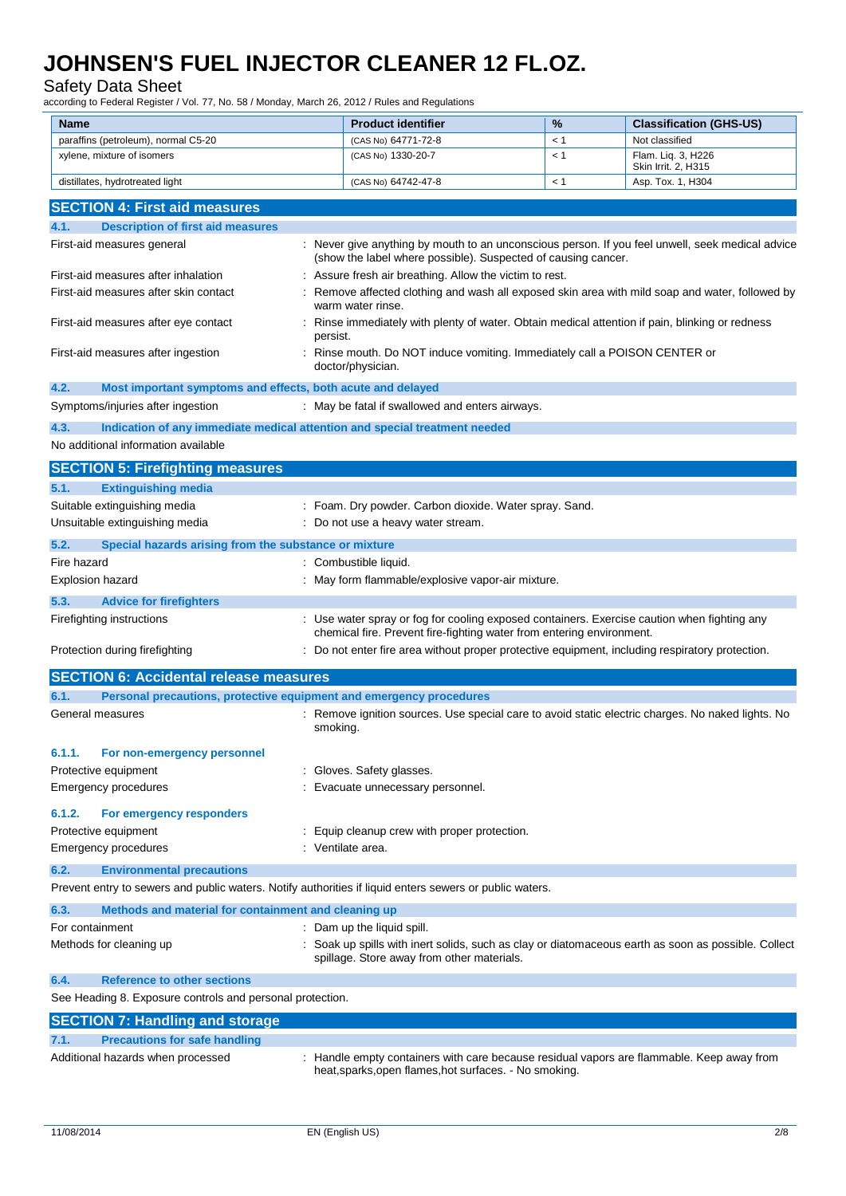### Safety Data Sheet

according to Federal Register / Vol. 77, No. 58 / Monday, March 26, 2012 / Rules and Regulations

| Name                                                                                                    | <b>Product identifier</b>                                                                                                                                          | %   | <b>Classification (GHS-US)</b>           |
|---------------------------------------------------------------------------------------------------------|--------------------------------------------------------------------------------------------------------------------------------------------------------------------|-----|------------------------------------------|
| paraffins (petroleum), normal C5-20                                                                     | (CAS No) 64771-72-8                                                                                                                                                | < 1 | Not classified                           |
| xylene, mixture of isomers                                                                              | (CAS No) 1330-20-7                                                                                                                                                 | < 1 | Flam. Lig. 3, H226                       |
| distillates, hydrotreated light                                                                         | (CAS No) 64742-47-8                                                                                                                                                | < 1 | Skin Irrit. 2, H315<br>Asp. Tox. 1, H304 |
|                                                                                                         |                                                                                                                                                                    |     |                                          |
| <b>SECTION 4: First aid measures</b>                                                                    |                                                                                                                                                                    |     |                                          |
| 4.1.<br><b>Description of first aid measures</b>                                                        |                                                                                                                                                                    |     |                                          |
| First-aid measures general                                                                              | : Never give anything by mouth to an unconscious person. If you feel unwell, seek medical advice                                                                   |     |                                          |
|                                                                                                         | (show the label where possible). Suspected of causing cancer.                                                                                                      |     |                                          |
| First-aid measures after inhalation                                                                     | Assure fresh air breathing. Allow the victim to rest.                                                                                                              |     |                                          |
| First-aid measures after skin contact                                                                   | Remove affected clothing and wash all exposed skin area with mild soap and water, followed by<br>warm water rinse.                                                 |     |                                          |
| First-aid measures after eye contact                                                                    | Rinse immediately with plenty of water. Obtain medical attention if pain, blinking or redness<br>persist.                                                          |     |                                          |
| First-aid measures after ingestion                                                                      | Rinse mouth. Do NOT induce vomiting. Immediately call a POISON CENTER or<br>doctor/physician.                                                                      |     |                                          |
| 4.2.<br>Most important symptoms and effects, both acute and delayed                                     |                                                                                                                                                                    |     |                                          |
| Symptoms/injuries after ingestion                                                                       | : May be fatal if swallowed and enters airways.                                                                                                                    |     |                                          |
| Indication of any immediate medical attention and special treatment needed<br>4.3.                      |                                                                                                                                                                    |     |                                          |
| No additional information available                                                                     |                                                                                                                                                                    |     |                                          |
|                                                                                                         |                                                                                                                                                                    |     |                                          |
| <b>SECTION 5: Firefighting measures</b>                                                                 |                                                                                                                                                                    |     |                                          |
| <b>Extinguishing media</b><br>5.1.                                                                      |                                                                                                                                                                    |     |                                          |
| Suitable extinguishing media                                                                            | : Foam. Dry powder. Carbon dioxide. Water spray. Sand.                                                                                                             |     |                                          |
| Unsuitable extinguishing media                                                                          | : Do not use a heavy water stream.                                                                                                                                 |     |                                          |
| 5.2.<br>Special hazards arising from the substance or mixture                                           |                                                                                                                                                                    |     |                                          |
| Fire hazard                                                                                             | Combustible liquid.                                                                                                                                                |     |                                          |
| <b>Explosion hazard</b>                                                                                 | May form flammable/explosive vapor-air mixture.                                                                                                                    |     |                                          |
|                                                                                                         |                                                                                                                                                                    |     |                                          |
| 5.3.<br><b>Advice for firefighters</b>                                                                  |                                                                                                                                                                    |     |                                          |
| Firefighting instructions                                                                               | Use water spray or fog for cooling exposed containers. Exercise caution when fighting any<br>chemical fire. Prevent fire-fighting water from entering environment. |     |                                          |
| Protection during firefighting                                                                          | : Do not enter fire area without proper protective equipment, including respiratory protection.                                                                    |     |                                          |
| <b>SECTION 6: Accidental release measures</b>                                                           |                                                                                                                                                                    |     |                                          |
| Personal precautions, protective equipment and emergency procedures<br>6.1.                             |                                                                                                                                                                    |     |                                          |
| General measures                                                                                        | Remove ignition sources. Use special care to avoid static electric charges. No naked lights. No<br>smoking.                                                        |     |                                          |
| 6.1.1.<br>For non-emergency personnel                                                                   |                                                                                                                                                                    |     |                                          |
| Protective equipment                                                                                    | Gloves. Safety glasses.                                                                                                                                            |     |                                          |
| <b>Emergency procedures</b>                                                                             | Evacuate unnecessary personnel.                                                                                                                                    |     |                                          |
|                                                                                                         |                                                                                                                                                                    |     |                                          |
| 6.1.2.<br>For emergency responders                                                                      |                                                                                                                                                                    |     |                                          |
| Protective equipment                                                                                    | Equip cleanup crew with proper protection.                                                                                                                         |     |                                          |
| <b>Emergency procedures</b>                                                                             | Ventilate area.                                                                                                                                                    |     |                                          |
| 6.2.<br><b>Environmental precautions</b>                                                                |                                                                                                                                                                    |     |                                          |
| Prevent entry to sewers and public waters. Notify authorities if liquid enters sewers or public waters. |                                                                                                                                                                    |     |                                          |
| 6.3.<br>Methods and material for containment and cleaning up                                            |                                                                                                                                                                    |     |                                          |
| For containment                                                                                         | Dam up the liquid spill.                                                                                                                                           |     |                                          |
|                                                                                                         | Soak up spills with inert solids, such as clay or diatomaceous earth as soon as possible. Collect                                                                  |     |                                          |
| Methods for cleaning up                                                                                 | spillage. Store away from other materials.                                                                                                                         |     |                                          |
| 6.4.<br><b>Reference to other sections</b>                                                              |                                                                                                                                                                    |     |                                          |
| See Heading 8. Exposure controls and personal protection.                                               |                                                                                                                                                                    |     |                                          |
| <b>SECTION 7: Handling and storage</b>                                                                  |                                                                                                                                                                    |     |                                          |
| <b>Precautions for safe handling</b><br>7.1.                                                            |                                                                                                                                                                    |     |                                          |
| Additional hazards when processed                                                                       | Handle empty containers with care because residual vapors are flammable. Keep away from<br>heat, sparks, open flames, hot surfaces. - No smoking.                  |     |                                          |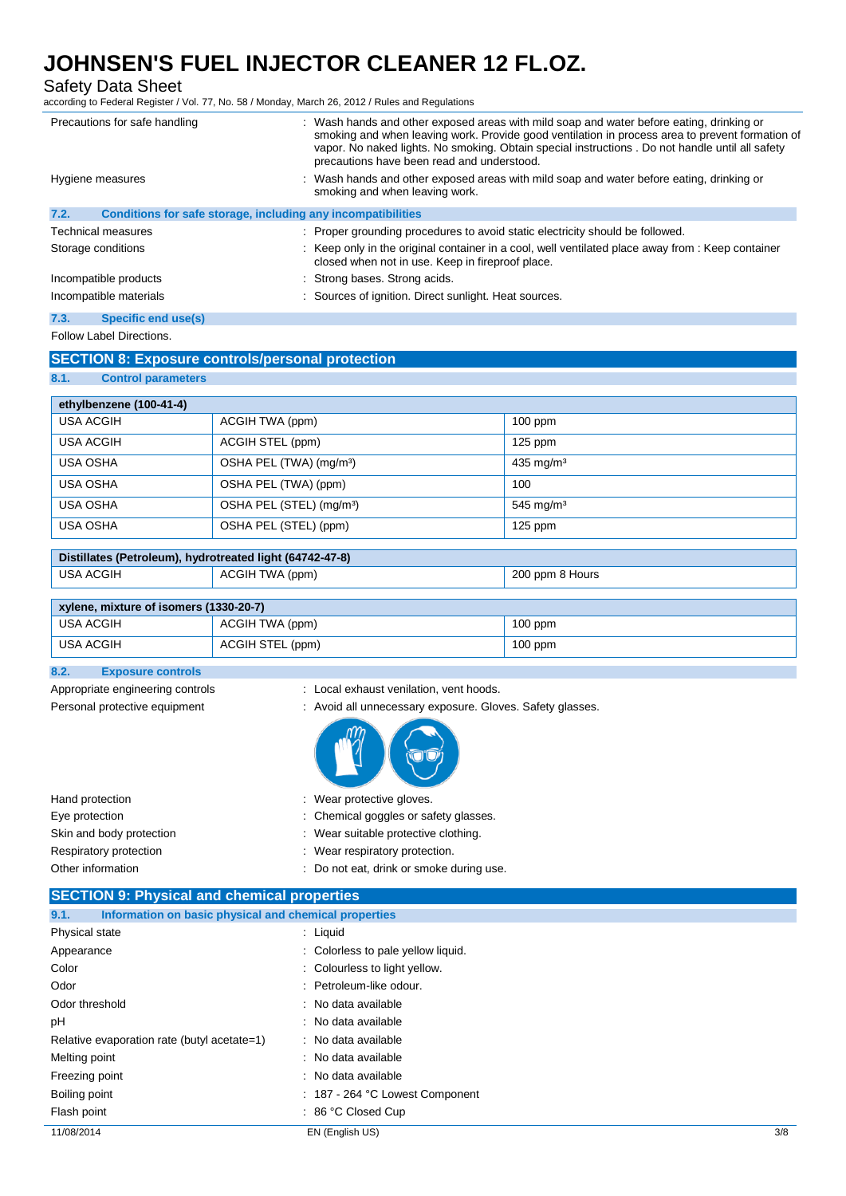Safety Data Sheet

according to Federal Register / Vol. 77, No. 58 / Monday, March 26, 2012 / Rules and Regulations

|      | Precautions for safe handling                                | : Wash hands and other exposed areas with mild soap and water before eating, drinking or<br>smoking and when leaving work. Provide good ventilation in process area to prevent formation of<br>vapor. No naked lights. No smoking. Obtain special instructions . Do not handle until all safety<br>precautions have been read and understood. |
|------|--------------------------------------------------------------|-----------------------------------------------------------------------------------------------------------------------------------------------------------------------------------------------------------------------------------------------------------------------------------------------------------------------------------------------|
|      | Hygiene measures                                             | : Wash hands and other exposed areas with mild soap and water before eating, drinking or<br>smoking and when leaving work.                                                                                                                                                                                                                    |
| 7.2. | Conditions for safe storage, including any incompatibilities |                                                                                                                                                                                                                                                                                                                                               |
|      | Technical measures                                           | : Proper grounding procedures to avoid static electricity should be followed.                                                                                                                                                                                                                                                                 |
|      | Storage conditions                                           | : Keep only in the original container in a cool, well ventilated place away from : Keep container<br>closed when not in use. Keep in fireproof place.                                                                                                                                                                                         |
|      | Incompatible products                                        | : Strong bases. Strong acids.                                                                                                                                                                                                                                                                                                                 |
|      | Incompatible materials                                       | : Sources of ignition. Direct sunlight. Heat sources.                                                                                                                                                                                                                                                                                         |
| 7.3. | Specific end use(s)                                          |                                                                                                                                                                                                                                                                                                                                               |

### Follow Label Directions.

### **SECTION 8: Exposure controls/personal protection**

**8.1. Control parameters**

| ethylbenzene (100-41-4) |                                      |                         |
|-------------------------|--------------------------------------|-------------------------|
| <b>USA ACGIH</b>        | ACGIH TWA (ppm)                      | $100$ ppm               |
| <b>USA ACGIH</b>        | ACGIH STEL (ppm)                     | $125$ ppm               |
| <b>USA OSHA</b>         | OSHA PEL (TWA) (mg/m <sup>3</sup> )  | $435$ mg/m <sup>3</sup> |
| <b>USA OSHA</b>         | OSHA PEL (TWA) (ppm)                 | 100                     |
| <b>USA OSHA</b>         | OSHA PEL (STEL) (mg/m <sup>3</sup> ) | 545 mg/m $3$            |
| <b>USA OSHA</b>         | OSHA PEL (STEL) (ppm)                | $125$ ppm               |

| Distillates (Petroleum), hydrotreated light (64742-47-8) |                 |                 |
|----------------------------------------------------------|-----------------|-----------------|
| USA ACGIH                                                | ACGIH TWA (ppm) | 200 ppm 8 Hours |

| xylene, mixture of isomers (1330-20-7) |                  |           |
|----------------------------------------|------------------|-----------|
| USA ACGIH                              | ACGIH TWA (ppm)  | $100$ ppm |
| 'USA ACGIH                             | ACGIH STEL (ppm) | $100$ ppm |

### **8.2. Exposure controls**

- 
- Appropriate engineering controls : Local exhaust venilation, vent hoods.
- Personal protective equipment : Avoid all unnecessary exposure. Gloves. Safety glasses.

|--|--|--|--|--|

Hand protection **in the contract of the contract of the Hand protective gloves.** Wear protective gloves. Eye protection  $\blacksquare$ Skin and body protection : Wear suitable protective clothing. Respiratory protection **in the control of the CO** is a Wear respiratory protection. Other information **COLO 2018** 2018 : Do not eat, drink or smoke during use.

| <b>SECTION 9: Physical and chemical properties</b>            |                                    |     |
|---------------------------------------------------------------|------------------------------------|-----|
| Information on basic physical and chemical properties<br>9.1. |                                    |     |
| Physical state                                                | $:$ Liquid                         |     |
| Appearance                                                    | : Colorless to pale yellow liquid. |     |
| Color                                                         | : Colourless to light yellow.      |     |
| Odor                                                          | : Petroleum-like odour.            |     |
| Odor threshold                                                | : No data available                |     |
| рH                                                            | : No data available                |     |
| Relative evaporation rate (butyl acetate=1)                   | : No data available                |     |
| Melting point                                                 | : No data available                |     |
| Freezing point                                                | : No data available                |     |
| Boiling point                                                 | : 187 - 264 °C Lowest Component    |     |
| Flash point                                                   | $: 86 °C$ Closed Cup               |     |
| 11/08/2014                                                    | EN (English US)                    | 3/8 |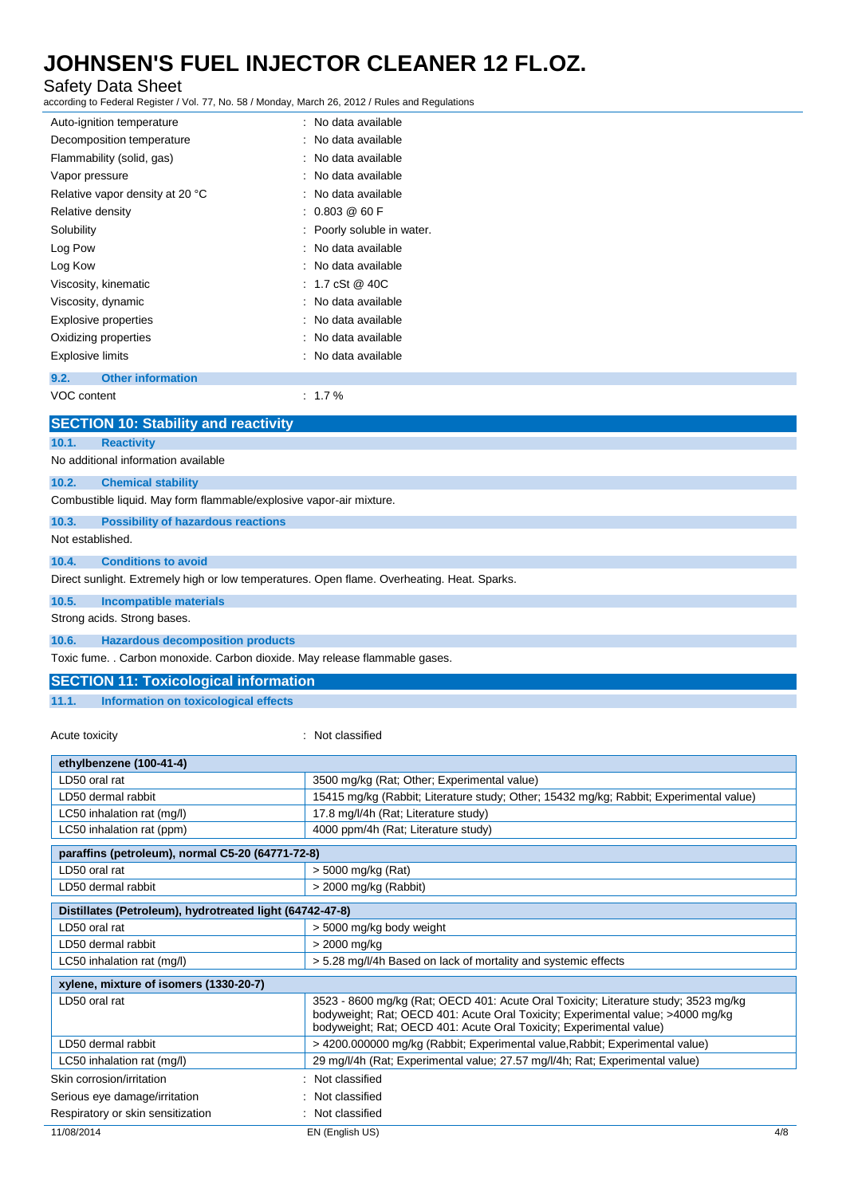### Safety Data Sheet

according to Federal Register / Vol. 77, No. 58 / Monday, March 26, 2012 / Rules and Regulations

|                         | according to Federal Register / Vol. 77, No. 58 / Monday, March 26, 2012 / Rules and Regulations |                                                                                             |
|-------------------------|--------------------------------------------------------------------------------------------------|---------------------------------------------------------------------------------------------|
|                         | Auto-ignition temperature                                                                        | : No data available                                                                         |
|                         | Decomposition temperature                                                                        | No data available                                                                           |
|                         | Flammability (solid, gas)                                                                        | No data available                                                                           |
| Vapor pressure          |                                                                                                  | No data available                                                                           |
|                         | Relative vapor density at 20 °C                                                                  | No data available                                                                           |
| Relative density        |                                                                                                  | 0.803 @ 60 F                                                                                |
| Solubility              |                                                                                                  | Poorly soluble in water.                                                                    |
| Log Pow                 |                                                                                                  | No data available                                                                           |
| Log Kow                 |                                                                                                  | No data available                                                                           |
|                         | Viscosity, kinematic                                                                             | 1.7 cSt @ 40C                                                                               |
|                         | Viscosity, dynamic                                                                               | No data available                                                                           |
|                         | <b>Explosive properties</b>                                                                      | No data available                                                                           |
|                         | Oxidizing properties                                                                             | No data available                                                                           |
| <b>Explosive limits</b> |                                                                                                  | No data available                                                                           |
| 9.2.                    | <b>Other information</b>                                                                         |                                                                                             |
| VOC content             |                                                                                                  | $: 1.7 \%$                                                                                  |
|                         | <b>SECTION 10: Stability and reactivity</b>                                                      |                                                                                             |
| 10.1.                   | <b>Reactivity</b>                                                                                |                                                                                             |
|                         | No additional information available                                                              |                                                                                             |
| 10.2.                   | <b>Chemical stability</b>                                                                        |                                                                                             |
|                         | Combustible liquid. May form flammable/explosive vapor-air mixture.                              |                                                                                             |
| 10.3.                   | <b>Possibility of hazardous reactions</b>                                                        |                                                                                             |
| Not established.        |                                                                                                  |                                                                                             |
| 10.4.                   | <b>Conditions to avoid</b>                                                                       |                                                                                             |
|                         |                                                                                                  | Direct sunlight. Extremely high or low temperatures. Open flame. Overheating. Heat. Sparks. |
| 10.5.                   | <b>Incompatible materials</b>                                                                    |                                                                                             |
|                         | Strong acids. Strong bases.                                                                      |                                                                                             |
| 10.6.                   | <b>Hazardous decomposition products</b>                                                          |                                                                                             |

Toxic fume. . Carbon monoxide. Carbon dioxide. May release flammable gases.

### **SECTION 11: Toxicological information**

**11.1. Information on toxicological effects**

Acute toxicity **in the case of the CALIC CONTEX Not classified** 

| ethylbenzene (100-41-4)                                  |                                                                                                                                                                                                                                               |
|----------------------------------------------------------|-----------------------------------------------------------------------------------------------------------------------------------------------------------------------------------------------------------------------------------------------|
| LD50 oral rat                                            | 3500 mg/kg (Rat; Other; Experimental value)                                                                                                                                                                                                   |
| LD50 dermal rabbit                                       | 15415 mg/kg (Rabbit; Literature study; Other; 15432 mg/kg; Rabbit; Experimental value)                                                                                                                                                        |
| LC50 inhalation rat (mg/l)                               | 17.8 mg/l/4h (Rat; Literature study)                                                                                                                                                                                                          |
| LC50 inhalation rat (ppm)                                | 4000 ppm/4h (Rat; Literature study)                                                                                                                                                                                                           |
| paraffins (petroleum), normal C5-20 (64771-72-8)         |                                                                                                                                                                                                                                               |
| LD50 oral rat                                            | $>$ 5000 mg/kg (Rat)                                                                                                                                                                                                                          |
| LD50 dermal rabbit                                       | > 2000 mg/kg (Rabbit)                                                                                                                                                                                                                         |
| Distillates (Petroleum), hydrotreated light (64742-47-8) |                                                                                                                                                                                                                                               |
| LD50 oral rat                                            | > 5000 mg/kg body weight                                                                                                                                                                                                                      |
| LD50 dermal rabbit                                       | > 2000 mg/kg                                                                                                                                                                                                                                  |
| LC50 inhalation rat (mg/l)                               | > 5.28 mg/l/4h Based on lack of mortality and systemic effects                                                                                                                                                                                |
| xylene, mixture of isomers (1330-20-7)                   |                                                                                                                                                                                                                                               |
| LD50 oral rat                                            | 3523 - 8600 mg/kg (Rat; OECD 401: Acute Oral Toxicity; Literature study; 3523 mg/kg<br>bodyweight; Rat; OECD 401: Acute Oral Toxicity; Experimental value; >4000 mg/kg<br>bodyweight; Rat; OECD 401: Acute Oral Toxicity; Experimental value) |
| LD50 dermal rabbit                                       | > 4200.000000 mg/kg (Rabbit; Experimental value, Rabbit; Experimental value)                                                                                                                                                                  |
| LC50 inhalation rat (mg/l)                               | 29 mg/l/4h (Rat; Experimental value; 27.57 mg/l/4h; Rat; Experimental value)                                                                                                                                                                  |
| Skin corrosion/irritation                                | : Not classified                                                                                                                                                                                                                              |
| Serious eye damage/irritation                            | : Not classified                                                                                                                                                                                                                              |
| Respiratory or skin sensitization                        | : Not classified                                                                                                                                                                                                                              |
| 11/08/2014                                               | EN (English US)<br>4/8                                                                                                                                                                                                                        |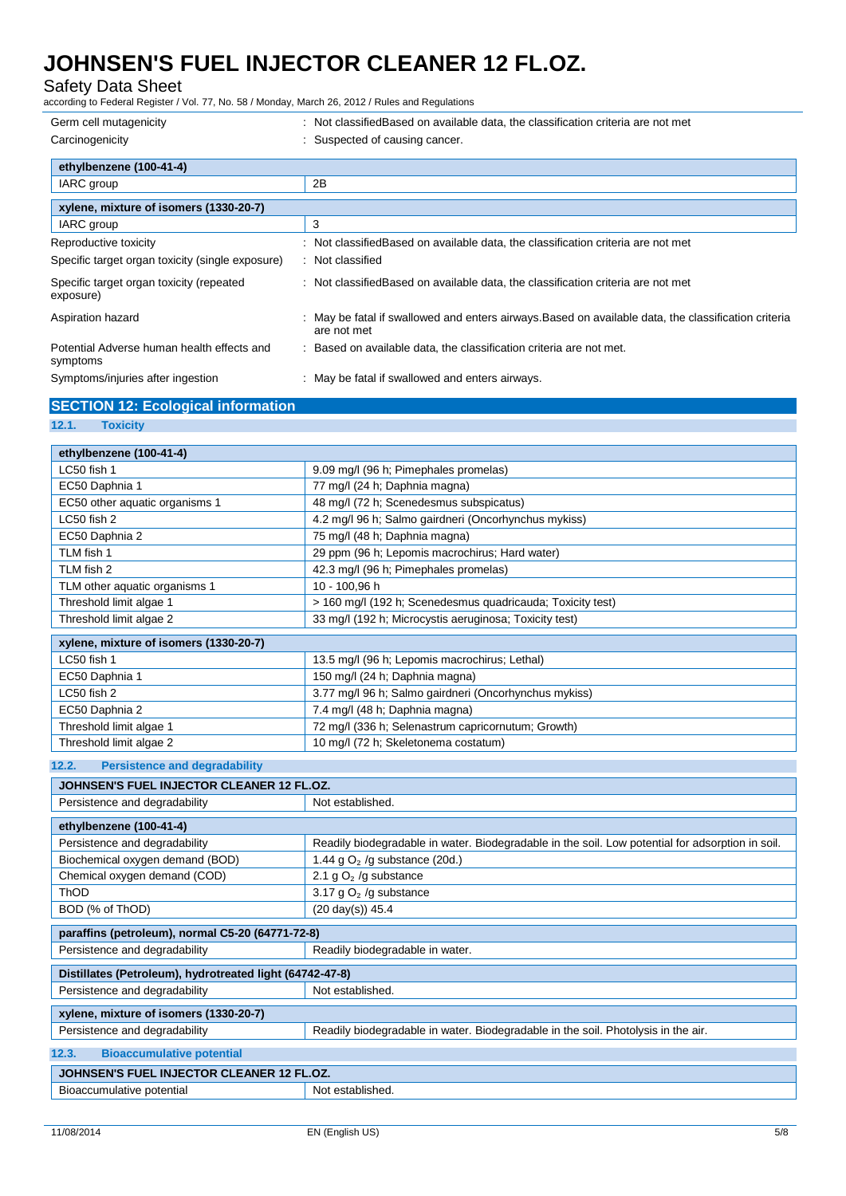### Safety Data Sheet

according to Federal Register / Vol. 77, No. 58 / Monday, March 26, 2012 / Rules and Regulations

| Germ cell mutagenicity                                 | : Not classified Based on available data, the classification criteria are not met                                 |
|--------------------------------------------------------|-------------------------------------------------------------------------------------------------------------------|
| Carcinogenicity                                        | : Suspected of causing cancer.                                                                                    |
| ethylbenzene (100-41-4)                                |                                                                                                                   |
| IARC group                                             | 2B                                                                                                                |
| xylene, mixture of isomers (1330-20-7)                 |                                                                                                                   |
| IARC group                                             | 3                                                                                                                 |
| Reproductive toxicity                                  | : Not classifiedBased on available data, the classification criteria are not met                                  |
| Specific target organ toxicity (single exposure)       | : Not classified                                                                                                  |
| Specific target organ toxicity (repeated<br>exposure)  | : Not classified Based on available data, the classification criteria are not met                                 |
| Aspiration hazard                                      | May be fatal if swallowed and enters airways. Based on available data, the classification criteria<br>are not met |
| Potential Adverse human health effects and<br>symptoms | : Based on available data, the classification criteria are not met.                                               |
| Symptoms/injuries after ingestion                      | : May be fatal if swallowed and enters airways.                                                                   |

### **SECTION 12: Ecological information**

### **12.1. Toxicity**

| ethylbenzene (100-41-4)<br>LC50 fish 1<br>9.09 mg/l (96 h; Pimephales promelas)<br>EC50 Daphnia 1<br>77 mg/l (24 h; Daphnia magna)<br>48 mg/l (72 h; Scenedesmus subspicatus)<br>EC50 other aquatic organisms 1<br>LC50 fish 2<br>4.2 mg/l 96 h; Salmo gairdneri (Oncorhynchus mykiss)<br>75 mg/l (48 h; Daphnia magna)<br>EC50 Daphnia 2<br>29 ppm (96 h; Lepomis macrochirus; Hard water)<br>TLM fish 1<br>TLM fish 2<br>42.3 mg/l (96 h; Pimephales promelas)<br>10 - 100,96 h<br>TLM other aquatic organisms 1<br>> 160 mg/l (192 h; Scenedesmus quadricauda; Toxicity test)<br>Threshold limit algae 1<br>Threshold limit algae 2<br>33 mg/l (192 h; Microcystis aeruginosa; Toxicity test)<br>xylene, mixture of isomers (1330-20-7) |
|--------------------------------------------------------------------------------------------------------------------------------------------------------------------------------------------------------------------------------------------------------------------------------------------------------------------------------------------------------------------------------------------------------------------------------------------------------------------------------------------------------------------------------------------------------------------------------------------------------------------------------------------------------------------------------------------------------------------------------------------|
|                                                                                                                                                                                                                                                                                                                                                                                                                                                                                                                                                                                                                                                                                                                                            |
|                                                                                                                                                                                                                                                                                                                                                                                                                                                                                                                                                                                                                                                                                                                                            |
|                                                                                                                                                                                                                                                                                                                                                                                                                                                                                                                                                                                                                                                                                                                                            |
|                                                                                                                                                                                                                                                                                                                                                                                                                                                                                                                                                                                                                                                                                                                                            |
|                                                                                                                                                                                                                                                                                                                                                                                                                                                                                                                                                                                                                                                                                                                                            |
|                                                                                                                                                                                                                                                                                                                                                                                                                                                                                                                                                                                                                                                                                                                                            |
|                                                                                                                                                                                                                                                                                                                                                                                                                                                                                                                                                                                                                                                                                                                                            |
|                                                                                                                                                                                                                                                                                                                                                                                                                                                                                                                                                                                                                                                                                                                                            |
|                                                                                                                                                                                                                                                                                                                                                                                                                                                                                                                                                                                                                                                                                                                                            |
|                                                                                                                                                                                                                                                                                                                                                                                                                                                                                                                                                                                                                                                                                                                                            |
|                                                                                                                                                                                                                                                                                                                                                                                                                                                                                                                                                                                                                                                                                                                                            |
|                                                                                                                                                                                                                                                                                                                                                                                                                                                                                                                                                                                                                                                                                                                                            |
| LC50 fish 1<br>13.5 mg/l (96 h; Lepomis macrochirus; Lethal)                                                                                                                                                                                                                                                                                                                                                                                                                                                                                                                                                                                                                                                                               |
| EC50 Daphnia 1<br>150 mg/l (24 h; Daphnia magna)                                                                                                                                                                                                                                                                                                                                                                                                                                                                                                                                                                                                                                                                                           |
| LC50 fish 2<br>3.77 mg/l 96 h; Salmo gairdneri (Oncorhynchus mykiss)                                                                                                                                                                                                                                                                                                                                                                                                                                                                                                                                                                                                                                                                       |
| EC50 Daphnia 2<br>7.4 mg/l (48 h; Daphnia magna)                                                                                                                                                                                                                                                                                                                                                                                                                                                                                                                                                                                                                                                                                           |
| 72 mg/l (336 h; Selenastrum capricornutum; Growth)<br>Threshold limit algae 1                                                                                                                                                                                                                                                                                                                                                                                                                                                                                                                                                                                                                                                              |
| Threshold limit algae 2<br>10 mg/l (72 h; Skeletonema costatum)                                                                                                                                                                                                                                                                                                                                                                                                                                                                                                                                                                                                                                                                            |
| <b>Persistence and degradability</b><br>12.2.                                                                                                                                                                                                                                                                                                                                                                                                                                                                                                                                                                                                                                                                                              |
| JOHNSEN'S FUEL INJECTOR CLEANER 12 FL.OZ.                                                                                                                                                                                                                                                                                                                                                                                                                                                                                                                                                                                                                                                                                                  |
| Not established.<br>Persistence and degradability                                                                                                                                                                                                                                                                                                                                                                                                                                                                                                                                                                                                                                                                                          |
| ethylbenzene (100-41-4)                                                                                                                                                                                                                                                                                                                                                                                                                                                                                                                                                                                                                                                                                                                    |
| Persistence and degradability<br>Readily biodegradable in water. Biodegradable in the soil. Low potential for adsorption in soil.                                                                                                                                                                                                                                                                                                                                                                                                                                                                                                                                                                                                          |
| Biochemical oxygen demand (BOD)<br>1.44 g $O2$ /g substance (20d.)                                                                                                                                                                                                                                                                                                                                                                                                                                                                                                                                                                                                                                                                         |
| Chemical oxygen demand (COD)<br>2.1 g $O2$ /g substance                                                                                                                                                                                                                                                                                                                                                                                                                                                                                                                                                                                                                                                                                    |
| 3.17 g $O2$ /g substance<br>ThOD                                                                                                                                                                                                                                                                                                                                                                                                                                                                                                                                                                                                                                                                                                           |
| BOD (% of ThOD)<br>$(20 \text{ day(s)})$ 45.4                                                                                                                                                                                                                                                                                                                                                                                                                                                                                                                                                                                                                                                                                              |
|                                                                                                                                                                                                                                                                                                                                                                                                                                                                                                                                                                                                                                                                                                                                            |
| paraffins (petroleum), normal C5-20 (64771-72-8)                                                                                                                                                                                                                                                                                                                                                                                                                                                                                                                                                                                                                                                                                           |
| Persistence and degradability<br>Readily biodegradable in water.                                                                                                                                                                                                                                                                                                                                                                                                                                                                                                                                                                                                                                                                           |
| Distillates (Petroleum), hydrotreated light (64742-47-8)                                                                                                                                                                                                                                                                                                                                                                                                                                                                                                                                                                                                                                                                                   |
| Persistence and degradability<br>Not established.                                                                                                                                                                                                                                                                                                                                                                                                                                                                                                                                                                                                                                                                                          |
| xylene, mixture of isomers (1330-20-7)                                                                                                                                                                                                                                                                                                                                                                                                                                                                                                                                                                                                                                                                                                     |
| Persistence and degradability<br>Readily biodegradable in water. Biodegradable in the soil. Photolysis in the air.                                                                                                                                                                                                                                                                                                                                                                                                                                                                                                                                                                                                                         |
| 12.3.<br><b>Bioaccumulative potential</b>                                                                                                                                                                                                                                                                                                                                                                                                                                                                                                                                                                                                                                                                                                  |
| JOHNSEN'S FUEL INJECTOR CLEANER 12 FL.OZ.                                                                                                                                                                                                                                                                                                                                                                                                                                                                                                                                                                                                                                                                                                  |
| Bioaccumulative potential<br>Not established.                                                                                                                                                                                                                                                                                                                                                                                                                                                                                                                                                                                                                                                                                              |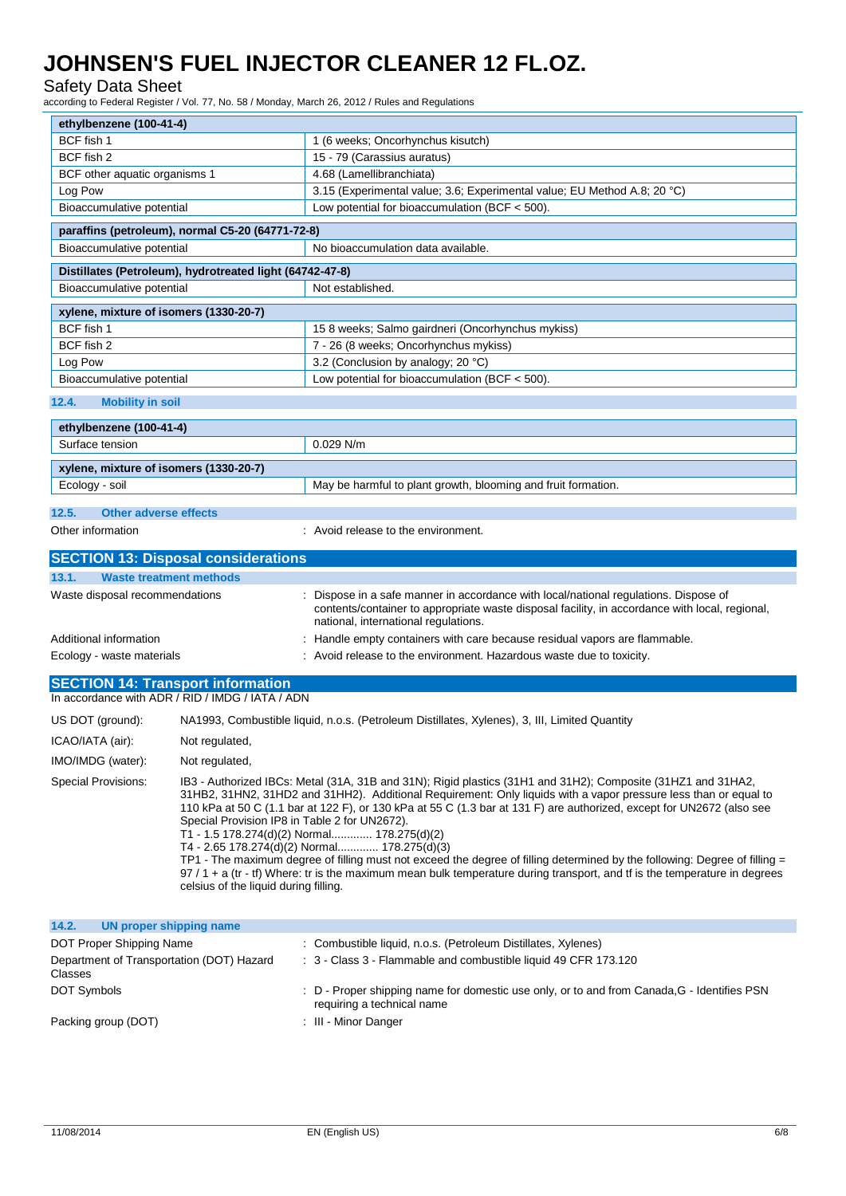### Safety Data Sheet

according to Federal Register / Vol. 77, No. 58 / Monday, March 26, 2012 / Rules and Regulations

| ethylbenzene (100-41-4)                              |                                                                                                                                                                                                                                                                                                                                                                                                                                                                                                                                                                                                                                                                                                                                                                                                                |                                                                                                                                                                                                                              |  |  |
|------------------------------------------------------|----------------------------------------------------------------------------------------------------------------------------------------------------------------------------------------------------------------------------------------------------------------------------------------------------------------------------------------------------------------------------------------------------------------------------------------------------------------------------------------------------------------------------------------------------------------------------------------------------------------------------------------------------------------------------------------------------------------------------------------------------------------------------------------------------------------|------------------------------------------------------------------------------------------------------------------------------------------------------------------------------------------------------------------------------|--|--|
| BCF fish 1                                           |                                                                                                                                                                                                                                                                                                                                                                                                                                                                                                                                                                                                                                                                                                                                                                                                                | 1 (6 weeks; Oncorhynchus kisutch)                                                                                                                                                                                            |  |  |
| BCF fish 2                                           |                                                                                                                                                                                                                                                                                                                                                                                                                                                                                                                                                                                                                                                                                                                                                                                                                | 15 - 79 (Carassius auratus)                                                                                                                                                                                                  |  |  |
| BCF other aquatic organisms 1                        |                                                                                                                                                                                                                                                                                                                                                                                                                                                                                                                                                                                                                                                                                                                                                                                                                | 4.68 (Lamellibranchiata)                                                                                                                                                                                                     |  |  |
| Log Pow                                              |                                                                                                                                                                                                                                                                                                                                                                                                                                                                                                                                                                                                                                                                                                                                                                                                                | 3.15 (Experimental value; 3.6; Experimental value; EU Method A.8; 20 °C)                                                                                                                                                     |  |  |
| Bioaccumulative potential                            |                                                                                                                                                                                                                                                                                                                                                                                                                                                                                                                                                                                                                                                                                                                                                                                                                | Low potential for bioaccumulation (BCF < 500).                                                                                                                                                                               |  |  |
|                                                      | paraffins (petroleum), normal C5-20 (64771-72-8)                                                                                                                                                                                                                                                                                                                                                                                                                                                                                                                                                                                                                                                                                                                                                               |                                                                                                                                                                                                                              |  |  |
| Bioaccumulative potential                            |                                                                                                                                                                                                                                                                                                                                                                                                                                                                                                                                                                                                                                                                                                                                                                                                                | No bioaccumulation data available.                                                                                                                                                                                           |  |  |
|                                                      | Distillates (Petroleum), hydrotreated light (64742-47-8)                                                                                                                                                                                                                                                                                                                                                                                                                                                                                                                                                                                                                                                                                                                                                       |                                                                                                                                                                                                                              |  |  |
| Bioaccumulative potential                            |                                                                                                                                                                                                                                                                                                                                                                                                                                                                                                                                                                                                                                                                                                                                                                                                                | Not established.                                                                                                                                                                                                             |  |  |
| xylene, mixture of isomers (1330-20-7)               |                                                                                                                                                                                                                                                                                                                                                                                                                                                                                                                                                                                                                                                                                                                                                                                                                |                                                                                                                                                                                                                              |  |  |
| BCF fish 1                                           |                                                                                                                                                                                                                                                                                                                                                                                                                                                                                                                                                                                                                                                                                                                                                                                                                | 158 weeks; Salmo gairdneri (Oncorhynchus mykiss)                                                                                                                                                                             |  |  |
| BCF fish 2                                           |                                                                                                                                                                                                                                                                                                                                                                                                                                                                                                                                                                                                                                                                                                                                                                                                                | 7 - 26 (8 weeks; Oncorhynchus mykiss)                                                                                                                                                                                        |  |  |
| Log Pow                                              |                                                                                                                                                                                                                                                                                                                                                                                                                                                                                                                                                                                                                                                                                                                                                                                                                | 3.2 (Conclusion by analogy; 20 °C)                                                                                                                                                                                           |  |  |
| Bioaccumulative potential                            |                                                                                                                                                                                                                                                                                                                                                                                                                                                                                                                                                                                                                                                                                                                                                                                                                | Low potential for bioaccumulation (BCF < 500).                                                                                                                                                                               |  |  |
| 12.4.<br><b>Mobility in soil</b>                     |                                                                                                                                                                                                                                                                                                                                                                                                                                                                                                                                                                                                                                                                                                                                                                                                                |                                                                                                                                                                                                                              |  |  |
| ethylbenzene (100-41-4)                              |                                                                                                                                                                                                                                                                                                                                                                                                                                                                                                                                                                                                                                                                                                                                                                                                                |                                                                                                                                                                                                                              |  |  |
| Surface tension                                      |                                                                                                                                                                                                                                                                                                                                                                                                                                                                                                                                                                                                                                                                                                                                                                                                                | 0.029 N/m                                                                                                                                                                                                                    |  |  |
| xylene, mixture of isomers (1330-20-7)               |                                                                                                                                                                                                                                                                                                                                                                                                                                                                                                                                                                                                                                                                                                                                                                                                                |                                                                                                                                                                                                                              |  |  |
| Ecology - soil                                       |                                                                                                                                                                                                                                                                                                                                                                                                                                                                                                                                                                                                                                                                                                                                                                                                                | May be harmful to plant growth, blooming and fruit formation.                                                                                                                                                                |  |  |
|                                                      |                                                                                                                                                                                                                                                                                                                                                                                                                                                                                                                                                                                                                                                                                                                                                                                                                |                                                                                                                                                                                                                              |  |  |
| <b>Other adverse effects</b><br>12.5.                |                                                                                                                                                                                                                                                                                                                                                                                                                                                                                                                                                                                                                                                                                                                                                                                                                |                                                                                                                                                                                                                              |  |  |
| Other information                                    |                                                                                                                                                                                                                                                                                                                                                                                                                                                                                                                                                                                                                                                                                                                                                                                                                | : Avoid release to the environment.                                                                                                                                                                                          |  |  |
|                                                      | <b>SECTION 13: Disposal considerations</b>                                                                                                                                                                                                                                                                                                                                                                                                                                                                                                                                                                                                                                                                                                                                                                     |                                                                                                                                                                                                                              |  |  |
| 13.1.<br><b>Waste treatment methods</b>              |                                                                                                                                                                                                                                                                                                                                                                                                                                                                                                                                                                                                                                                                                                                                                                                                                |                                                                                                                                                                                                                              |  |  |
| Waste disposal recommendations                       |                                                                                                                                                                                                                                                                                                                                                                                                                                                                                                                                                                                                                                                                                                                                                                                                                | Dispose in a safe manner in accordance with local/national regulations. Dispose of<br>contents/container to appropriate waste disposal facility, in accordance with local, regional,<br>national, international regulations. |  |  |
| Additional information                               |                                                                                                                                                                                                                                                                                                                                                                                                                                                                                                                                                                                                                                                                                                                                                                                                                | Handle empty containers with care because residual vapors are flammable.                                                                                                                                                     |  |  |
| Ecology - waste materials                            |                                                                                                                                                                                                                                                                                                                                                                                                                                                                                                                                                                                                                                                                                                                                                                                                                | Avoid release to the environment. Hazardous waste due to toxicity.                                                                                                                                                           |  |  |
|                                                      |                                                                                                                                                                                                                                                                                                                                                                                                                                                                                                                                                                                                                                                                                                                                                                                                                |                                                                                                                                                                                                                              |  |  |
| <b>SECTION 14: Transport information</b>             | In accordance with ADR / RID / IMDG / IATA / ADN                                                                                                                                                                                                                                                                                                                                                                                                                                                                                                                                                                                                                                                                                                                                                               |                                                                                                                                                                                                                              |  |  |
| US DOT (ground):                                     |                                                                                                                                                                                                                                                                                                                                                                                                                                                                                                                                                                                                                                                                                                                                                                                                                |                                                                                                                                                                                                                              |  |  |
|                                                      | NA1993, Combustible liquid, n.o.s. (Petroleum Distillates, Xylenes), 3, III, Limited Quantity                                                                                                                                                                                                                                                                                                                                                                                                                                                                                                                                                                                                                                                                                                                  |                                                                                                                                                                                                                              |  |  |
| ICAO/IATA (air):                                     | Not regulated,                                                                                                                                                                                                                                                                                                                                                                                                                                                                                                                                                                                                                                                                                                                                                                                                 |                                                                                                                                                                                                                              |  |  |
| IMO/IMDG (water):                                    | Not regulated,                                                                                                                                                                                                                                                                                                                                                                                                                                                                                                                                                                                                                                                                                                                                                                                                 |                                                                                                                                                                                                                              |  |  |
| Special Provisions:                                  | IB3 - Authorized IBCs: Metal (31A, 31B and 31N); Rigid plastics (31H1 and 31H2); Composite (31HZ1 and 31HA2,<br>31HB2, 31HN2, 31HD2 and 31HH2). Additional Requirement: Only liquids with a vapor pressure less than or equal to<br>110 kPa at 50 C (1.1 bar at 122 F), or 130 kPa at 55 C (1.3 bar at 131 F) are authorized, except for UN2672 (also see<br>Special Provision IP8 in Table 2 for UN2672).<br>T1 - 1.5 178.274(d)(2) Normal 178.275(d)(2)<br>T4 - 2.65 178.274(d)(2) Normal 178.275(d)(3)<br>TP1 - The maximum degree of filling must not exceed the degree of filling determined by the following: Degree of filling =<br>97 / 1 + a (tr - tf) Where: tr is the maximum mean bulk temperature during transport, and tf is the temperature in degrees<br>celsius of the liquid during filling. |                                                                                                                                                                                                                              |  |  |
| 14.2.<br><b>UN proper shipping name</b>              |                                                                                                                                                                                                                                                                                                                                                                                                                                                                                                                                                                                                                                                                                                                                                                                                                |                                                                                                                                                                                                                              |  |  |
| DOT Proper Shipping Name                             |                                                                                                                                                                                                                                                                                                                                                                                                                                                                                                                                                                                                                                                                                                                                                                                                                | : Combustible liquid, n.o.s. (Petroleum Distillates, Xylenes)                                                                                                                                                                |  |  |
| Department of Transportation (DOT) Hazard<br>Classes |                                                                                                                                                                                                                                                                                                                                                                                                                                                                                                                                                                                                                                                                                                                                                                                                                | : 3 - Class 3 - Flammable and combustible liquid 49 CFR 173.120                                                                                                                                                              |  |  |
| DOT Symbols                                          |                                                                                                                                                                                                                                                                                                                                                                                                                                                                                                                                                                                                                                                                                                                                                                                                                | : D - Proper shipping name for domestic use only, or to and from Canada, G - Identifies PSN<br>requiring a technical name                                                                                                    |  |  |

Packing group (DOT) **in the case of the COV** of the Minor Danger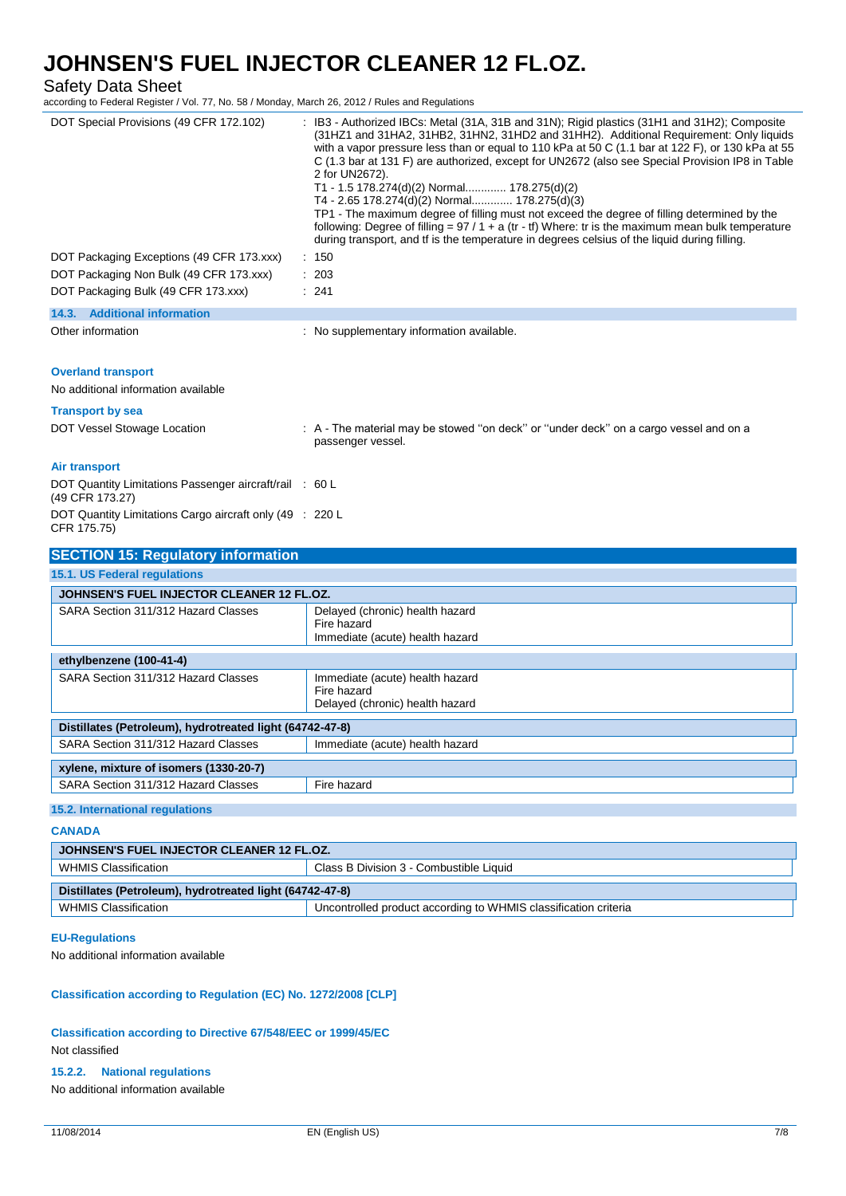# Safety Data Sheet<br>according to Federal Register / V

according to Federal Register March 26, 2012 / Rules and Regulations

| according to Federal Register / Vol. 77, No. 58 / Monday, March 26, 2012 / Rules and Regulations |                                                                                                                                                                                                                                                                                                                                                                                                                                                                                                                                                                                                                                                                                                                                                                                                                     |  |  |  |
|--------------------------------------------------------------------------------------------------|---------------------------------------------------------------------------------------------------------------------------------------------------------------------------------------------------------------------------------------------------------------------------------------------------------------------------------------------------------------------------------------------------------------------------------------------------------------------------------------------------------------------------------------------------------------------------------------------------------------------------------------------------------------------------------------------------------------------------------------------------------------------------------------------------------------------|--|--|--|
| DOT Special Provisions (49 CFR 172.102)                                                          | : IB3 - Authorized IBCs: Metal (31A, 31B and 31N); Rigid plastics (31H1 and 31H2); Composite<br>(31HZ1 and 31HA2, 31HB2, 31HN2, 31HD2 and 31HH2). Additional Requirement: Only liquids<br>with a vapor pressure less than or equal to 110 kPa at 50 C (1.1 bar at 122 F), or 130 kPa at 55<br>C (1.3 bar at 131 F) are authorized, except for UN2672 (also see Special Provision IP8 in Table<br>2 for UN2672).<br>T1 - 1.5 178.274(d)(2) Normal 178.275(d)(2)<br>T4 - 2.65 178.274(d)(2) Normal 178.275(d)(3)<br>TP1 - The maximum degree of filling must not exceed the degree of filling determined by the<br>following: Degree of filling = $97/1 + a$ (tr - tf) Where: tr is the maximum mean bulk temperature<br>during transport, and if is the temperature in degrees celsius of the liquid during filling. |  |  |  |
| DOT Packaging Exceptions (49 CFR 173.xxx)                                                        | : 150                                                                                                                                                                                                                                                                                                                                                                                                                                                                                                                                                                                                                                                                                                                                                                                                               |  |  |  |
| DOT Packaging Non Bulk (49 CFR 173.xxx)                                                          | : 203                                                                                                                                                                                                                                                                                                                                                                                                                                                                                                                                                                                                                                                                                                                                                                                                               |  |  |  |
| DOT Packaging Bulk (49 CFR 173.xxx)                                                              | : 241                                                                                                                                                                                                                                                                                                                                                                                                                                                                                                                                                                                                                                                                                                                                                                                                               |  |  |  |
| 14.3. Additional information                                                                     |                                                                                                                                                                                                                                                                                                                                                                                                                                                                                                                                                                                                                                                                                                                                                                                                                     |  |  |  |
| Other information                                                                                | : No supplementary information available.                                                                                                                                                                                                                                                                                                                                                                                                                                                                                                                                                                                                                                                                                                                                                                           |  |  |  |
| <b>Overland transport</b><br>No additional information available<br><b>Transport by sea</b>      |                                                                                                                                                                                                                                                                                                                                                                                                                                                                                                                                                                                                                                                                                                                                                                                                                     |  |  |  |
| DOT Vessel Stowage Location                                                                      | : A - The material may be stowed "on deck" or "under deck" on a cargo vessel and on a                                                                                                                                                                                                                                                                                                                                                                                                                                                                                                                                                                                                                                                                                                                               |  |  |  |
|                                                                                                  | passenger vessel.                                                                                                                                                                                                                                                                                                                                                                                                                                                                                                                                                                                                                                                                                                                                                                                                   |  |  |  |
| Air transport                                                                                    |                                                                                                                                                                                                                                                                                                                                                                                                                                                                                                                                                                                                                                                                                                                                                                                                                     |  |  |  |
| DOT Quantity Limitations Passenger aircraft/rail : 60 L<br>(49 CFR 173.27)                       |                                                                                                                                                                                                                                                                                                                                                                                                                                                                                                                                                                                                                                                                                                                                                                                                                     |  |  |  |
| DOT Quantity Limitations Cargo aircraft only (49 : 220 L<br>CFR 175.75)                          |                                                                                                                                                                                                                                                                                                                                                                                                                                                                                                                                                                                                                                                                                                                                                                                                                     |  |  |  |
| <b>SECTION 15: Regulatory information</b>                                                        |                                                                                                                                                                                                                                                                                                                                                                                                                                                                                                                                                                                                                                                                                                                                                                                                                     |  |  |  |
| 15.1. US Federal regulations                                                                     |                                                                                                                                                                                                                                                                                                                                                                                                                                                                                                                                                                                                                                                                                                                                                                                                                     |  |  |  |
| JOHNSEN'S FUEL INJECTOR CLEANER 12 FL.OZ.                                                        |                                                                                                                                                                                                                                                                                                                                                                                                                                                                                                                                                                                                                                                                                                                                                                                                                     |  |  |  |
| SARA Section 311/312 Hazard Classes                                                              | Delayed (chronic) health hazard<br>Fire hazard<br>Immediate (acute) health hazard                                                                                                                                                                                                                                                                                                                                                                                                                                                                                                                                                                                                                                                                                                                                   |  |  |  |
| ethylbenzene (100-41-4)                                                                          |                                                                                                                                                                                                                                                                                                                                                                                                                                                                                                                                                                                                                                                                                                                                                                                                                     |  |  |  |
| SARA Section 311/312 Hazard Classes                                                              | Immediate (acute) health hazard<br>Fire hazard<br>Delayed (chronic) health hazard                                                                                                                                                                                                                                                                                                                                                                                                                                                                                                                                                                                                                                                                                                                                   |  |  |  |
| Distillates (Petroleum), hydrotreated light (64742-47-8)                                         |                                                                                                                                                                                                                                                                                                                                                                                                                                                                                                                                                                                                                                                                                                                                                                                                                     |  |  |  |
| SARA Section 311/312 Hazard Classes<br>Immediate (acute) health hazard                           |                                                                                                                                                                                                                                                                                                                                                                                                                                                                                                                                                                                                                                                                                                                                                                                                                     |  |  |  |
| xylene, mixture of isomers (1330-20-7)                                                           |                                                                                                                                                                                                                                                                                                                                                                                                                                                                                                                                                                                                                                                                                                                                                                                                                     |  |  |  |
| SARA Section 311/312 Hazard Classes                                                              | Fire hazard                                                                                                                                                                                                                                                                                                                                                                                                                                                                                                                                                                                                                                                                                                                                                                                                         |  |  |  |
| 15.2. International regulations                                                                  |                                                                                                                                                                                                                                                                                                                                                                                                                                                                                                                                                                                                                                                                                                                                                                                                                     |  |  |  |

### **CANADA**

| JOHNSEN'S FUEL INJECTOR CLEANER 12 FL.OZ.                                                      |                                         |  |  |  |
|------------------------------------------------------------------------------------------------|-----------------------------------------|--|--|--|
| WHMIS Classification                                                                           | Class B Division 3 - Combustible Liquid |  |  |  |
| Distillates (Petroleum), hydrotreated light (64742-47-8)                                       |                                         |  |  |  |
| Uncontrolled product according to WHMIS classification criteria<br><b>WHMIS Classification</b> |                                         |  |  |  |

### **EU-Regulations**

No additional information available

### **Classification according to Regulation (EC) No. 1272/2008 [CLP]**

**Classification according to Directive 67/548/EEC or 1999/45/EC** Not classified

#### **15.2.2. National regulations**

No additional information available